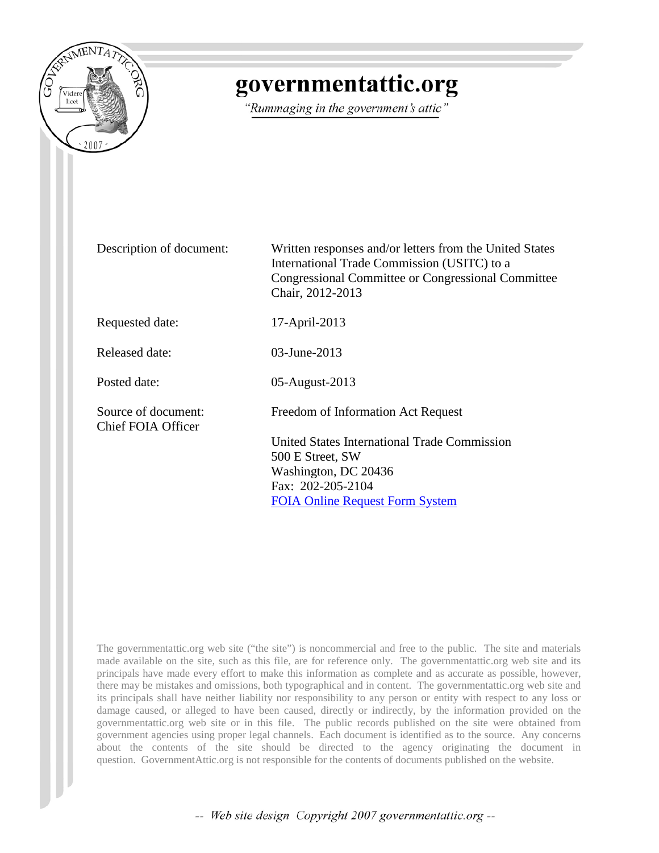

# governmentattic.org

"Rummaging in the government's attic"

Description of document: Written responses and/or letters from the United States International Trade Commission (USITC) to a Congressional Committee or Congressional Committee Chair, 2012-2013

Requested date: 17-April-2013

Released date: 03-June-2013

Posted date: 05-August-2013

Source of document: Freedom of Information Act Request Chief FOIA Officer

United States International Trade Commission 500 E Street, SW Washington, DC 20436 Fax: 202-205-2104 [FOIA Online Request Form System](http://pubapps.usitc.gov/applications/foia/request.asp)

The governmentattic.org web site ("the site") is noncommercial and free to the public. The site and materials made available on the site, such as this file, are for reference only. The governmentattic.org web site and its principals have made every effort to make this information as complete and as accurate as possible, however, there may be mistakes and omissions, both typographical and in content. The governmentattic.org web site and its principals shall have neither liability nor responsibility to any person or entity with respect to any loss or damage caused, or alleged to have been caused, directly or indirectly, by the information provided on the governmentattic.org web site or in this file. The public records published on the site were obtained from government agencies using proper legal channels. Each document is identified as to the source. Any concerns about the contents of the site should be directed to the agency originating the document in question. GovernmentAttic.org is not responsible for the contents of documents published on the website.

-- Web site design Copyright 2007 governmentattic.org --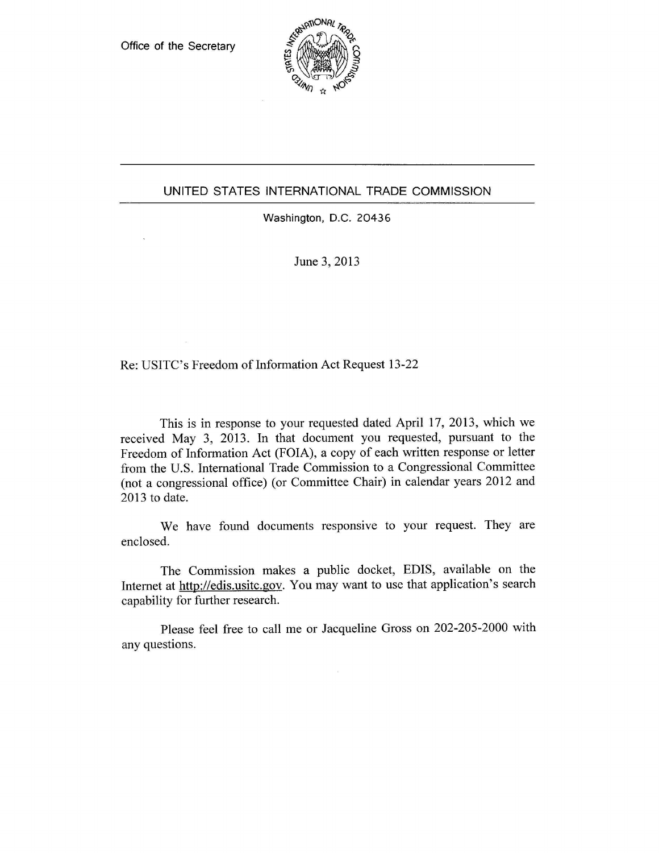

#### UNITED STATES INTERNATIONAL TRADE COMMISSION

Washington, D.C. 20436

June 3, 2013

Re: USITC's Freedom of Information Act Request 13-22

This is in response to your requested dated April 17, 2013, which we received May 3, 2013. In that document you requested, pursuant to the Freedom of Information Act (FOIA), a copy of each written response or letter from the U.S. International Trade Commission to a Congressional Committee (not a congressional office) (or Committee Chair) in calendar years 2012 and 2013 to date.

We have found documents responsive to your request. They are enclosed.

The Commission makes a public docket, EDIS, available on the Internet at http://edis.usitc.gov. You may want to use that application's search capability for further research.

Please feel free to call me or Jacqueline Gross on 202-205-2000 with any questions.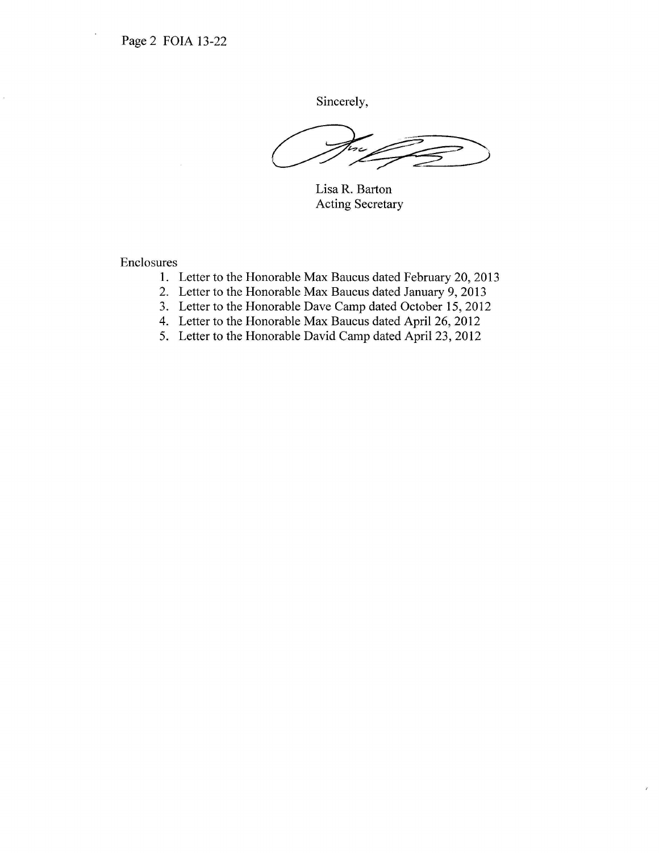Sincerely,

Lisa R. Barton Acting Secretary

- 1. Letter to the Honorable Max Baucus dated February 20, 2013
- 2. Letter to the Honorable Max Baucus dated January 9, 2013
- 3. Letter to the Honorable Dave Camp dated October 15, 2012
- 4. Letter to the Honorable Max Baucus dated April 26, 2012
- 5. Letter to the Honorable David Camp dated April 23, 2012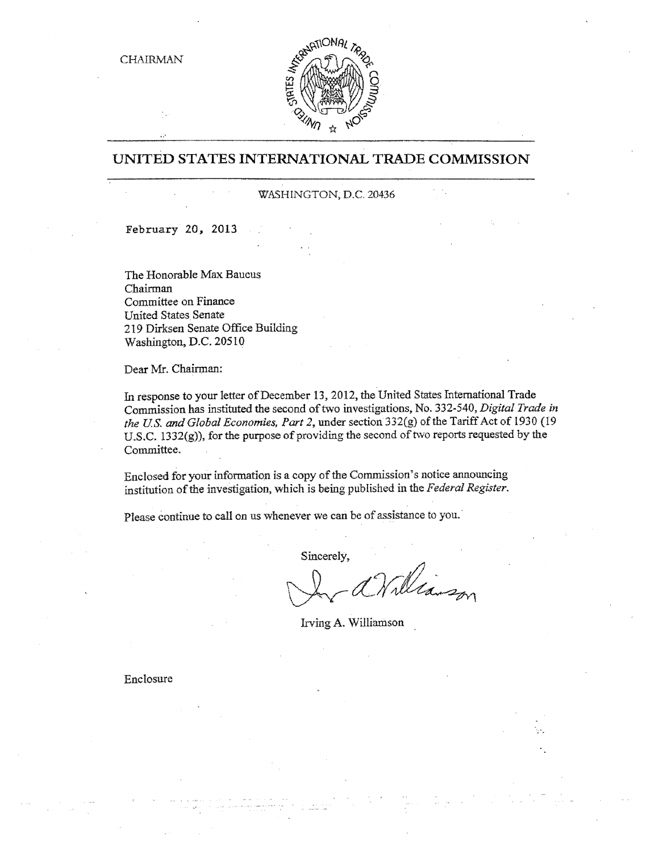

### **UNITED STATES INTERNATIONAL TRADE COMMISSION**

#### WASHINGTON, D.C. 20436

February *20,* 2013

The Honorable Max Baucus Chairman Committee on Finance United States Senate 219 Dirksen Senate Office Building Washington, D.C. 20510

Dear Mr. Chairman;

In response to your letter of December 13, 2012, the United States International Trade Commission has instituted the second of two investigations, No. 332-540, *Digital Trade in the US. and Global Economies, Part 2,* under section 332(g) of the Tariff Act of 1930 (19 U .S.C. 1332(g)), for the purpose of providing the second of tvvo reports requested by the Committee.

Enclosed for your information is a copy of the Commission's notice announcing institution of the investigation, which is being published in the *Federal Register.* 

Please continue to call on us whenever we can be of assistance to you.

Sincerely,

In a Williamson

Irving A. Williamson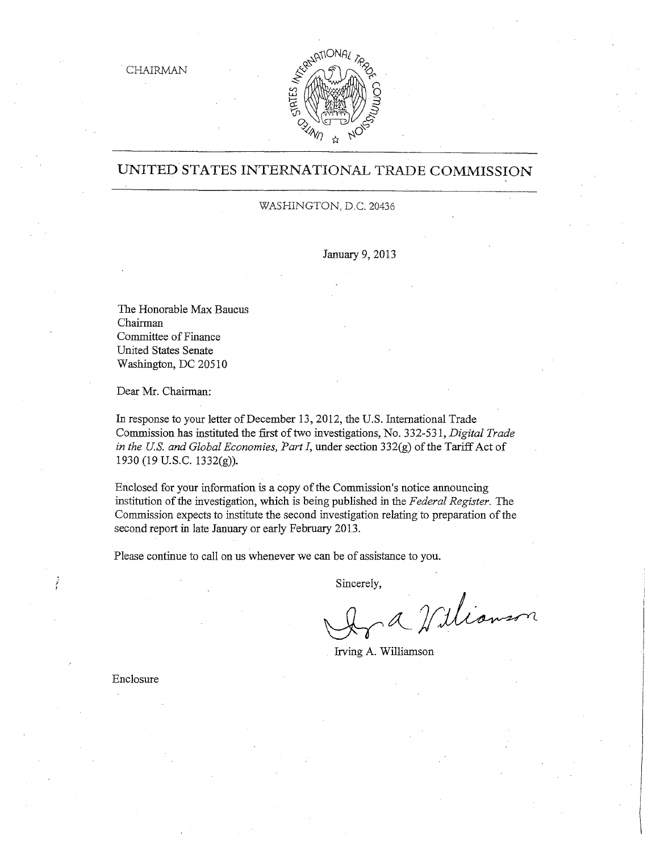

### UNITED STATES INTERNATIONAL TRADE COMMISSION

#### WASHINGTON, D.C. 20436

January 9, 2013

The Honorable Max Baucus Chairman Committee of Finance United States Senate Washington, DC 20510

Dear Mr. Chairman:

In response to your letter of December 13, 2012, the U.S. International Trade Commission has instituted the first of two investigations, No. 332-531, *Digital Trade in the US. and Global Economies, Fart I,* under section 332(g) of the Tariff Act of 1930 (19 u.s.c. 1332(g)).

Enclosed for your information is a copy of the Commission's notice announcing institution of the investigation, which is being published in the *Federal Register.* The Commission expects to institute the second investigation relating to preparation of the second report in late January or early February 2013.

Please continue to call on us whenever we can be of assistance to you.

Sincerely,

Wianson

Irving A. Williamson

Enclosure

i l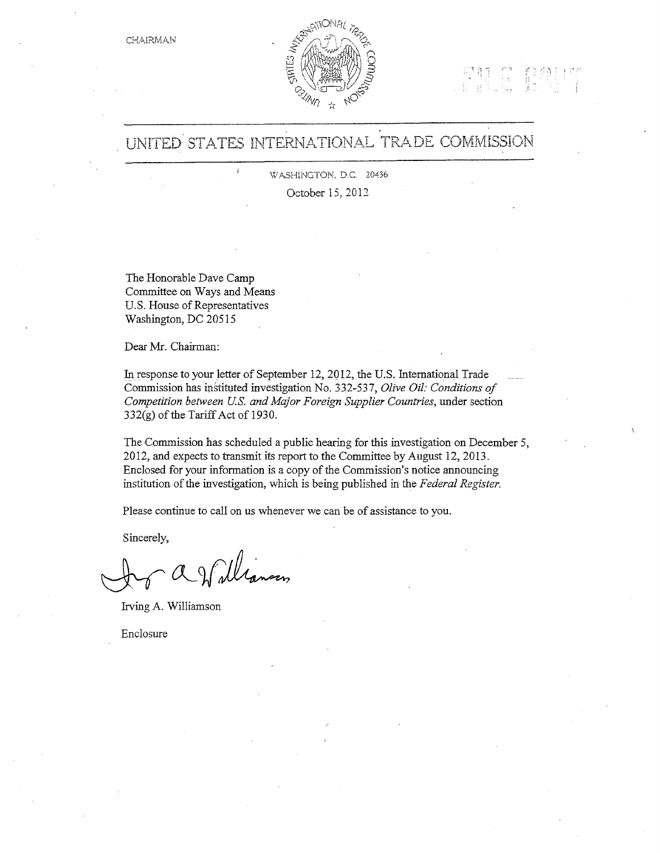



# UNITED STATES INTERNATIONAL TRADE COMMISSION

WASHINGTON, D.C. 20436 October 15, 2012

The Honorable Dave Camp Committee on Ways and Means U.S. House of Representatives Washington, DC 20515

Dear Mr. Chairman:

In response to your letter of September 12, 2Ql2, the U.S. International Trade Commission has instituted investigation No. 332-537, *Olive Oil: Conditions of Competition between U.S. and Mqjor Foreign Supplier Countries,* under section  $332(g)$  of the Tariff Act of 1930.

The Commission has scheduled a public hearing for this investigation on December 5, 2012, and expects to transmit its report to the Committee by August 12, 2013. Enclosed for your information is a copy of the Commission's notice announcing institution of the investigation, which is being published in the *Federal Register*.

Please continue to call on us whenever we can be of assistance to you.

Sincerely,

2 Williansen

Irving A. Williamson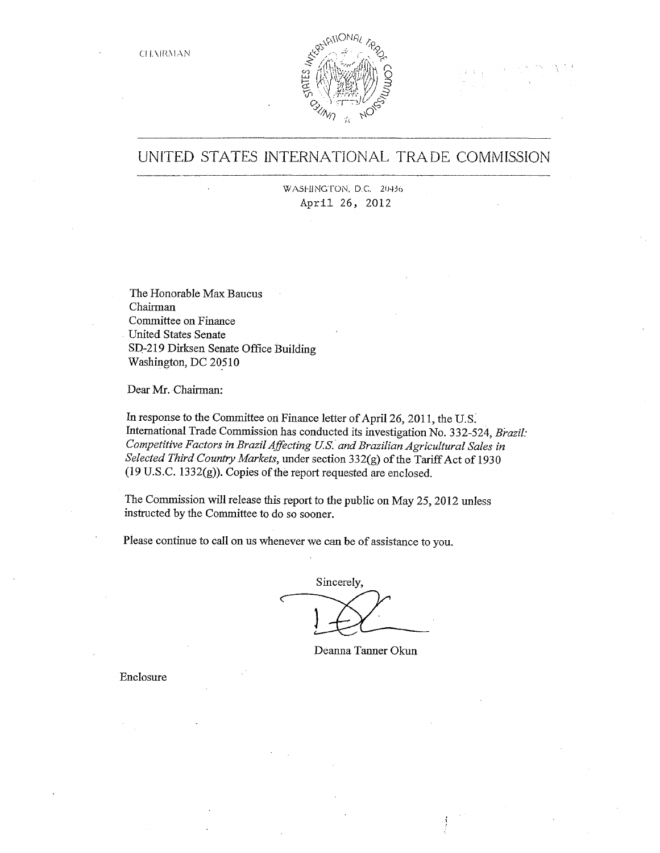CH. **MRMAN** 



UNITED STATES INTERNATIONAL TRADE COMMISSION

WASHINGTON, D.C. 20436 April 26, 2012

The Honorable Max Baucus Chairman Committee on Finance United States Senate SP-219 Dirksen Senate Office Building Washington, DC 20510

Dear Mr. Chairman:

In response to the Committee on Finance letter of April 26, 2011, the U.S. International Trade Commission has conducted its investigation No. 332-524, *Brazil: Competitive Factors in Brazil Affecting US. and Brazilian Agricultural Sales in Selected Third Country Markets,* under section 332(g) of the Tariff Act of 1930 (19 U.S.C. 1332(g)). Copies of the report requested are enclosed.

The Commission will release this report to the public on May 25, 2012 unless instructed by the Committee to do so sooner.

Please continue to call on us whenever we can be of assistance to you.

Sincerely,

Deanna Tanner Okun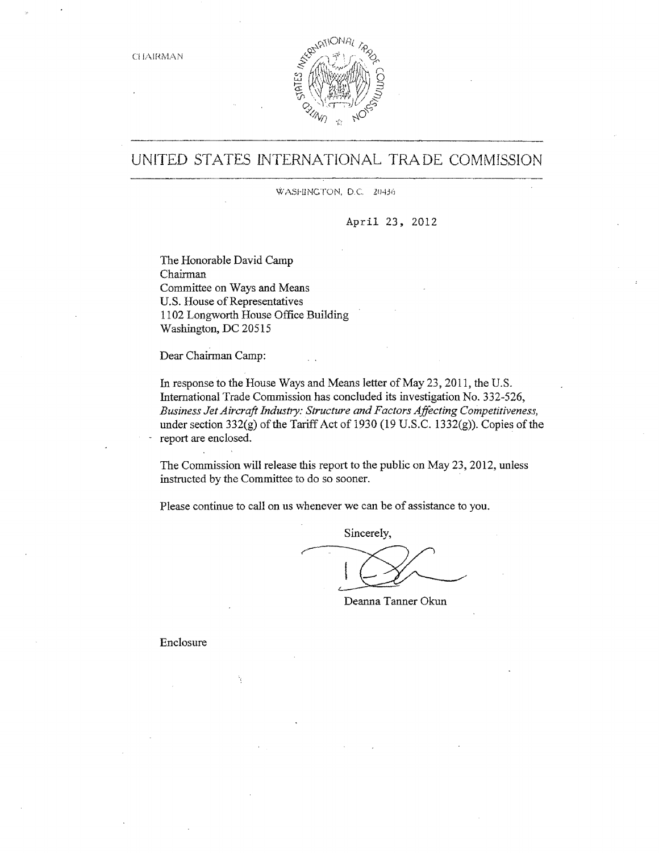

## UNITED STATES INTERNATIONAL TRADE COMMISSION

WASHINGTON, D.C. 20436

April 23, 2012

The Honorable David Camp Chairman Committee on Ways and Means U.S. House of Representatives 1102 Longworth House Office Building Washington, DC 20515

Dear Chairman Camp:

In response to the House Ways and Means letter of May 23, 2011, the U.S. International Trade Commission has concluded its investigation No. 332-526, *Business Jet Aircraft Industry: Structure and Factors Affecting Competitiveness,*  under section 332(g) of the Tariff Act of 1930 (19 U.S.C. 1332(g)). Copies of the report are enclosed.

The Commission will release this report to the public on May 23, 2012, unless instructed by the Committee to do so sooner.

Please continue to call on us whenever we can be of assistance to you.

Sincerely,

Deanna Tanner Okun